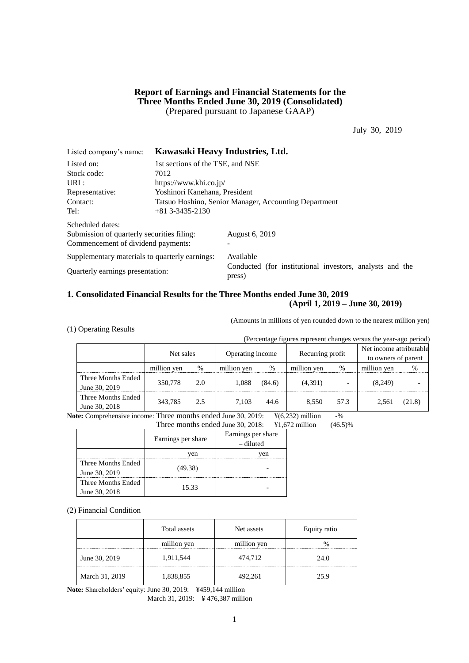## **Report of Earnings and Financial Statements for the Three Months Ended June 30, 2019 (Consolidated)** (Prepared pursuant to Japanese GAAP)

July 30, 2019

| Listed company's name:                         | Kawasaki Heavy Industries, Ltd.                       |                                                                    |  |  |  |
|------------------------------------------------|-------------------------------------------------------|--------------------------------------------------------------------|--|--|--|
| Listed on:                                     | 1st sections of the TSE, and NSE                      |                                                                    |  |  |  |
| Stock code:                                    | 7012                                                  |                                                                    |  |  |  |
| URL:                                           |                                                       | https://www.khi.co.jp/                                             |  |  |  |
| Representative:                                |                                                       | Yoshinori Kanehana, President                                      |  |  |  |
| Contact:                                       | Tatsuo Hoshino, Senior Manager, Accounting Department |                                                                    |  |  |  |
| Tel:                                           | $+81$ 3-3435-2130                                     |                                                                    |  |  |  |
| Scheduled dates:                               |                                                       |                                                                    |  |  |  |
| Submission of quarterly securities filing:     |                                                       | August 6, 2019                                                     |  |  |  |
| Commencement of dividend payments:             |                                                       |                                                                    |  |  |  |
| Supplementary materials to quarterly earnings: |                                                       | Available                                                          |  |  |  |
| Quarterly earnings presentation:               |                                                       | Conducted (for institutional investors, analysts and the<br>press) |  |  |  |

## **1. Consolidated Financial Results for the Three Months ended June 30, 2019 (April 1, 2019 – June 30, 2019)**

(1) Operating Results

(Amounts in millions of yen rounded down to the nearest million yen)

| (Percentage figures represent changes versus the year-ago period) |             |     |                  |        |                  |      |                                                |        |  |
|-------------------------------------------------------------------|-------------|-----|------------------|--------|------------------|------|------------------------------------------------|--------|--|
|                                                                   | Net sales   |     | Operating income |        | Recurring profit |      | Net income attributable<br>to owners of parent |        |  |
|                                                                   | million yen | %   | million yen      | %      | million yen      | $\%$ | million yen                                    | %      |  |
| Three Months Ended<br>June 30, 2019                               | 350,778     | 2.0 | 1.088            | (84.6) | (4,391)          |      | (8,249)                                        |        |  |
| Three Months Ended<br>June 30, 2018                               | 343.785     | 2.5 | 7.103            | 44.6   | 8.550            | 57.3 | 2.561                                          | (21.8) |  |

**Note:** Comprehensive income: Three months ended June 30, 2019: ¥(6,232) million -%

Three months ended June 30, 2018: ¥1,672 million (46.5)%

|                    | Earnings per share | Earnings per share<br>– diluted |
|--------------------|--------------------|---------------------------------|
|                    | ven                | ven                             |
| Three Months Ended | (49.38)            |                                 |
| June 30, 2019      |                    |                                 |
| Three Months Ended | 15.33              |                                 |
| June 30, 2018      |                    |                                 |

(2) Financial Condition

|                | Total assets | Net assets  | Equity ratio |
|----------------|--------------|-------------|--------------|
|                | million yen  | million yen |              |
| June 30, 2019  | 1,911,544    | 474,712     | 24.0         |
| March 31, 2019 | 838,855.ا    | 492.261     | 25.9         |

**Note:** Shareholders' equity: June 30, 2019: ¥459,144 million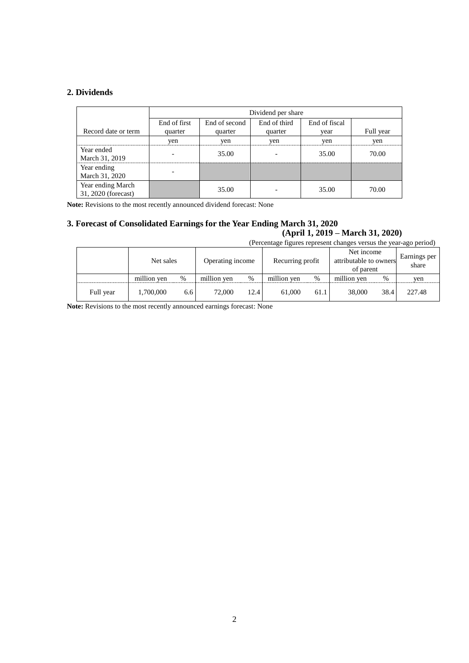# **2. Dividends**

|                                          | Dividend per share |               |         |       |           |  |  |  |
|------------------------------------------|--------------------|---------------|---------|-------|-----------|--|--|--|
|                                          | End of first       | End of fiscal |         |       |           |  |  |  |
| Record date or term                      | quarter            | quarter       | quarter | vear  | Full year |  |  |  |
|                                          | yen                | yen           | yen     | yen   | yen       |  |  |  |
| Year ended<br>March 31, 2019             |                    | 35.00         |         | 35.00 | 70.00     |  |  |  |
| Year ending<br>March 31, 2020            |                    |               |         |       |           |  |  |  |
| Year ending March<br>31, 2020 (forecast) |                    | 35.00         |         | 35.00 | 70.00     |  |  |  |

**Note:** Revisions to the most recently announced dividend forecast: None

# **3. Forecast of Consolidated Earnings for the Year Ending March 31, 2020**

# **(April 1, 2019 – March 31, 2020)**

| (Percentage figures represent changes versus the year-ago period) |                                                   |     |             |      |             |      |                                                   |      |                       |
|-------------------------------------------------------------------|---------------------------------------------------|-----|-------------|------|-------------|------|---------------------------------------------------|------|-----------------------|
|                                                                   | Operating income<br>Recurring profit<br>Net sales |     |             |      |             |      | Net income<br>attributable to owners<br>of parent |      | Earnings per<br>share |
|                                                                   | million yen                                       | %   | million yen | $\%$ | million yen | %    | million yen                                       | %    | ven                   |
| Full year                                                         | 1,700,000                                         | 6.6 | 72,000      | 12.4 | 61.000      | 61.1 | 38,000                                            | 38.4 | 227.48                |

Note: Revisions to the most recently announced earnings forecast: None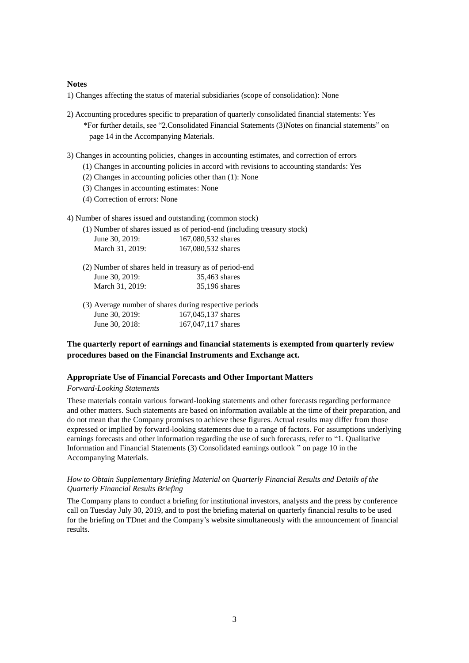## **Notes**

1) Changes affecting the status of material subsidiaries (scope of consolidation): None

- 2) Accounting procedures specific to preparation of quarterly consolidated financial statements: Yes \*For further details, see "2.Consolidated Financial Statements (3)Notes on financial statements" on page 14 in the Accompanying Materials.
- 3) Changes in accounting policies, changes in accounting estimates, and correction of errors
	- (1) Changes in accounting policies in accord with revisions to accounting standards: Yes
	- (2) Changes in accounting policies other than (1): None
	- (3) Changes in accounting estimates: None
	- (4) Correction of errors: None
- 4) Number of shares issued and outstanding (common stock)

|                   | (1) Number of shares issued as of period-end (including treasury stock) |
|-------------------|-------------------------------------------------------------------------|
| June $30, 2019$ : | 167,080,532 shares                                                      |
| March 31, 2019:   | 167,080,532 shares                                                      |
|                   |                                                                         |

- (2) Number of shares held in treasury as of period-end June 30, 2019: 35,463 shares March 31, 2019: 35,196 shares
- (3) Average number of shares during respective periods June 30, 2019: 167,045,137 shares<br>
June 30, 2018: 167,047,117 shares 167,047,117 shares

## **The quarterly report of earnings and financial statements is exempted from quarterly review procedures based on the Financial Instruments and Exchange act.**

## **Appropriate Use of Financial Forecasts and Other Important Matters**

#### *Forward-Looking Statements*

These materials contain various forward-looking statements and other forecasts regarding performance and other matters. Such statements are based on information available at the time of their preparation, and do not mean that the Company promises to achieve these figures. Actual results may differ from those expressed or implied by forward-looking statements due to a range of factors. For assumptions underlying earnings forecasts and other information regarding the use of such forecasts, refer to "1. Qualitative Information and Financial Statements (3) Consolidated earnings outlook " on page 10 in the Accompanying Materials.

## *How to Obtain Supplementary Briefing Material on Quarterly Financial Results and Details of the Quarterly Financial Results Briefing*

The Company plans to conduct a briefing for institutional investors, analysts and the press by conference call on Tuesday July 30, 2019, and to post the briefing material on quarterly financial results to be used for the briefing on TDnet and the Company's website simultaneously with the announcement of financial results.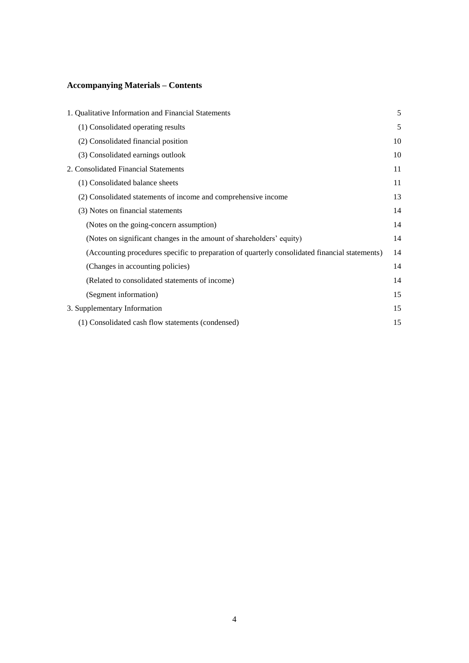# **Accompanying Materials – Contents**

| 1. Qualitative Information and Financial Statements                                            | 5  |
|------------------------------------------------------------------------------------------------|----|
| (1) Consolidated operating results                                                             | 5  |
| (2) Consolidated financial position                                                            | 10 |
| (3) Consolidated earnings outlook                                                              | 10 |
| 2. Consolidated Financial Statements                                                           | 11 |
| (1) Consolidated balance sheets                                                                | 11 |
| (2) Consolidated statements of income and comprehensive income                                 | 13 |
| (3) Notes on financial statements                                                              | 14 |
| (Notes on the going-concern assumption)                                                        | 14 |
| (Notes on significant changes in the amount of shareholders' equity)                           | 14 |
| (Accounting procedures specific to preparation of quarterly consolidated financial statements) | 14 |
| (Changes in accounting policies)                                                               | 14 |
| (Related to consolidated statements of income)                                                 | 14 |
| (Segment information)                                                                          | 15 |
| 3. Supplementary Information                                                                   | 15 |
| (1) Consolidated cash flow statements (condensed)                                              | 15 |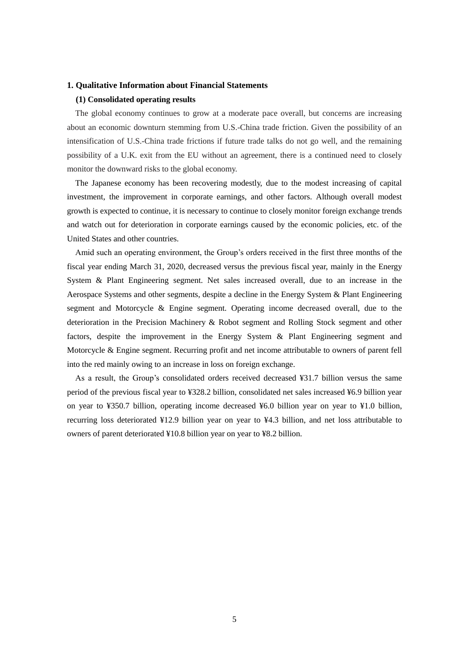#### **1. Qualitative Information about Financial Statements**

## **(1) Consolidated operating results**

The global economy continues to grow at a moderate pace overall, but concerns are increasing about an economic downturn stemming from U.S.-China trade friction. Given the possibility of an intensification of U.S.-China trade frictions if future trade talks do not go well, and the remaining possibility of a U.K. exit from the EU without an agreement, there is a continued need to closely monitor the downward risks to the global economy.

The Japanese economy has been recovering modestly, due to the modest increasing of capital investment, the improvement in corporate earnings, and other factors. Although overall modest growth is expected to continue, it is necessary to continue to closely monitor foreign exchange trends and watch out for deterioration in corporate earnings caused by the economic policies, etc. of the United States and other countries.

Amid such an operating environment, the Group's orders received in the first three months of the fiscal year ending March 31, 2020, decreased versus the previous fiscal year, mainly in the Energy System & Plant Engineering segment. Net sales increased overall, due to an increase in the Aerospace Systems and other segments, despite a decline in the Energy System & Plant Engineering segment and Motorcycle & Engine segment. Operating income decreased overall, due to the deterioration in the Precision Machinery & Robot segment and Rolling Stock segment and other factors, despite the improvement in the Energy System & Plant Engineering segment and Motorcycle & Engine segment. Recurring profit and net income attributable to owners of parent fell into the red mainly owing to an increase in loss on foreign exchange.

As a result, the Group's consolidated orders received decreased ¥31.7 billion versus the same period of the previous fiscal year to ¥328.2 billion, consolidated net sales increased ¥6.9 billion year on year to ¥350.7 billion, operating income decreased ¥6.0 billion year on year to ¥1.0 billion, recurring loss deteriorated ¥12.9 billion year on year to ¥4.3 billion, and net loss attributable to owners of parent deteriorated ¥10.8 billion year on year to ¥8.2 billion.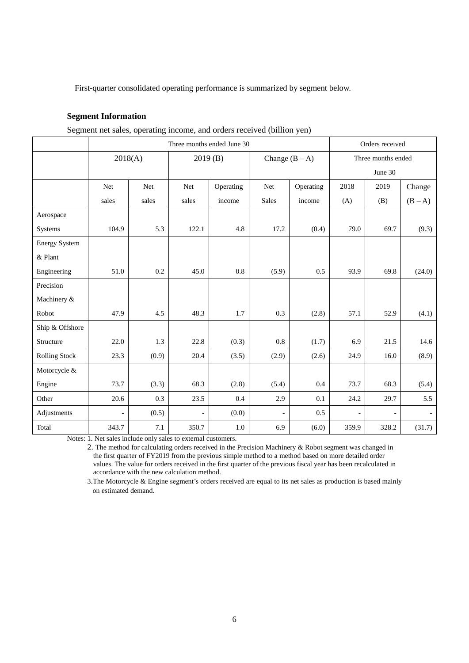First-quarter consolidated operating performance is summarized by segment below.

## **Segment Information**

|  | Segment net sales, operating income, and orders received (billion yen) |  |
|--|------------------------------------------------------------------------|--|
|  |                                                                        |  |

|                      | Three months ended June 30 |       |                |           |                          | Orders received  |                          |                    |         |  |
|----------------------|----------------------------|-------|----------------|-----------|--------------------------|------------------|--------------------------|--------------------|---------|--|
|                      | 2018(A)                    |       | 2019(B)        |           |                          | Change $(B - A)$ |                          | Three months ended |         |  |
|                      |                            |       |                |           |                          |                  |                          | June 30            |         |  |
|                      | Net                        | Net   | Net            | Operating | Net                      | Operating        | 2018                     | 2019               | Change  |  |
|                      | sales                      | sales | sales          | income    | <b>Sales</b>             | income           | (A)                      | (B)                | $(B-A)$ |  |
| Aerospace            |                            |       |                |           |                          |                  |                          |                    |         |  |
| Systems              | 104.9                      | 5.3   | 122.1          | 4.8       | 17.2                     | (0.4)            | 79.0                     | 69.7               | (9.3)   |  |
| <b>Energy System</b> |                            |       |                |           |                          |                  |                          |                    |         |  |
| & Plant              |                            |       |                |           |                          |                  |                          |                    |         |  |
| Engineering          | 51.0                       | 0.2   | 45.0           | 0.8       | (5.9)                    | 0.5              | 93.9                     | 69.8               | (24.0)  |  |
| Precision            |                            |       |                |           |                          |                  |                          |                    |         |  |
| Machinery &          |                            |       |                |           |                          |                  |                          |                    |         |  |
| Robot                | 47.9                       | 4.5   | 48.3           | 1.7       | 0.3                      | (2.8)            | 57.1                     | 52.9               | (4.1)   |  |
| Ship & Offshore      |                            |       |                |           |                          |                  |                          |                    |         |  |
| Structure            | 22.0                       | 1.3   | 22.8           | (0.3)     | 0.8                      | (1.7)            | 6.9                      | 21.5               | 14.6    |  |
| <b>Rolling Stock</b> | 23.3                       | (0.9) | 20.4           | (3.5)     | (2.9)                    | (2.6)            | 24.9                     | 16.0               | (8.9)   |  |
| Motorcycle &         |                            |       |                |           |                          |                  |                          |                    |         |  |
| Engine               | 73.7                       | (3.3) | 68.3           | (2.8)     | (5.4)                    | 0.4              | 73.7                     | 68.3               | (5.4)   |  |
| Other                | 20.6                       | 0.3   | 23.5           | 0.4       | 2.9                      | 0.1              | 24.2                     | 29.7               | 5.5     |  |
| Adjustments          | $\overline{\phantom{0}}$   | (0.5) | $\overline{a}$ | (0.0)     | $\overline{\phantom{a}}$ | 0.5              | $\overline{\phantom{a}}$ |                    |         |  |
| Total                | 343.7                      | 7.1   | 350.7          | $1.0\,$   | 6.9                      | (6.0)            | 359.9                    | 328.2              | (31.7)  |  |

Notes: 1. Net sales include only sales to external customers.

2. The method for calculating orders received in the Precision Machinery & Robot segment was changed in the first quarter of FY2019 from the previous simple method to a method based on more detailed order values. The value for orders received in the first quarter of the previous fiscal year has been recalculated in accordance with the new calculation method.

3.The Motorcycle & Engine segment's orders received are equal to its net sales as production is based mainly on estimated demand.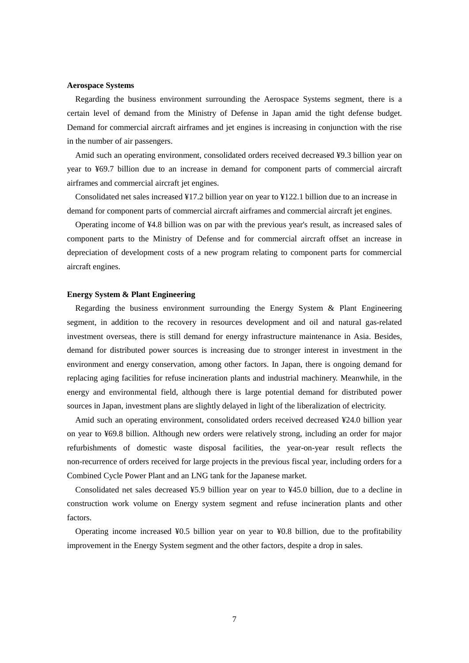#### **Aerospace Systems**

Regarding the business environment surrounding the Aerospace Systems segment, there is a certain level of demand from the Ministry of Defense in Japan amid the tight defense budget. Demand for commercial aircraft airframes and jet engines is increasing in conjunction with the rise in the number of air passengers.

Amid such an operating environment, consolidated orders received decreased ¥9.3 billion year on year to ¥69.7 billion due to an increase in demand for component parts of commercial aircraft airframes and commercial aircraft jet engines.

Consolidated net sales increased ¥17.2 billion year on year to ¥122.1 billion due to an increase in demand for component parts of commercial aircraft airframes and commercial aircraft jet engines.

Operating income of ¥4.8 billion was on par with the previous year's result, as increased sales of component parts to the Ministry of Defense and for commercial aircraft offset an increase in depreciation of development costs of a new program relating to component parts for commercial aircraft engines.

## **Energy System & Plant Engineering**

Regarding the business environment surrounding the Energy System & Plant Engineering segment, in addition to the recovery in resources development and oil and natural gas-related investment overseas, there is still demand for energy infrastructure maintenance in Asia. Besides, demand for distributed power sources is increasing due to stronger interest in investment in the environment and energy conservation, among other factors. In Japan, there is ongoing demand for replacing aging facilities for refuse incineration plants and industrial machinery. Meanwhile, in the energy and environmental field, although there is large potential demand for distributed power sources in Japan, investment plans are slightly delayed in light of the liberalization of electricity.

Amid such an operating environment, consolidated orders received decreased ¥24.0 billion year on year to ¥69.8 billion. Although new orders were relatively strong, including an order for major refurbishments of domestic waste disposal facilities, the year-on-year result reflects the non-recurrence of orders received for large projects in the previous fiscal year, including orders for a Combined Cycle Power Plant and an LNG tank for the Japanese market.

Consolidated net sales decreased ¥5.9 billion year on year to ¥45.0 billion, due to a decline in construction work volume on Energy system segment and refuse incineration plants and other factors.

Operating income increased ¥0.5 billion year on year to ¥0.8 billion, due to the profitability improvement in the Energy System segment and the other factors, despite a drop in sales.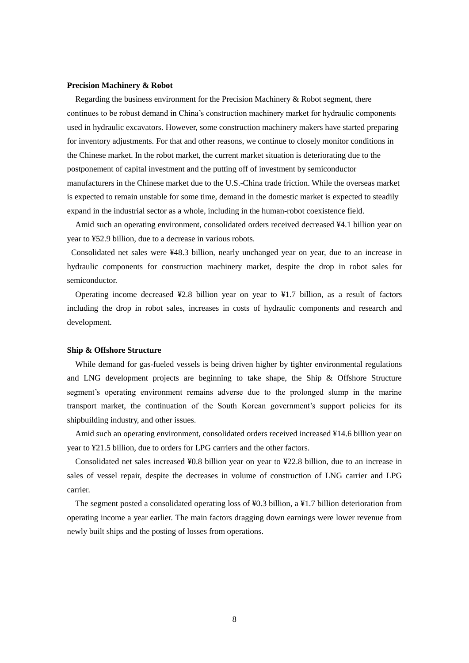#### **Precision Machinery & Robot**

Regarding the business environment for the Precision Machinery & Robot segment, there continues to be robust demand in China's construction machinery market for hydraulic components used in hydraulic excavators. However, some construction machinery makers have started preparing for inventory adjustments. For that and other reasons, we continue to closely monitor conditions in the Chinese market. In the robot market, the current market situation is deteriorating due to the postponement of capital investment and the putting off of investment by semiconductor manufacturers in the Chinese market due to the U.S.-China trade friction. While the overseas market is expected to remain unstable for some time, demand in the domestic market is expected to steadily expand in the industrial sector as a whole, including in the human-robot coexistence field.

Amid such an operating environment, consolidated orders received decreased ¥4.1 billion year on year to ¥52.9 billion, due to a decrease in various robots.

Consolidated net sales were ¥48.3 billion, nearly unchanged year on year, due to an increase in hydraulic components for construction machinery market, despite the drop in robot sales for semiconductor.

Operating income decreased ¥2.8 billion year on year to ¥1.7 billion, as a result of factors including the drop in robot sales, increases in costs of hydraulic components and research and development.

## **Ship & Offshore Structure**

While demand for gas-fueled vessels is being driven higher by tighter environmental regulations and LNG development projects are beginning to take shape, the Ship  $\&$  Offshore Structure segment's operating environment remains adverse due to the prolonged slump in the marine transport market, the continuation of the South Korean government's support policies for its shipbuilding industry, and other issues.

Amid such an operating environment, consolidated orders received increased ¥14.6 billion year on year to ¥21.5 billion, due to orders for LPG carriers and the other factors.

Consolidated net sales increased ¥0.8 billion year on year to ¥22.8 billion, due to an increase in sales of vessel repair, despite the decreases in volume of construction of LNG carrier and LPG carrier.

The segment posted a consolidated operating loss of ¥0.3 billion, a ¥1.7 billion deterioration from operating income a year earlier. The main factors dragging down earnings were lower revenue from newly built ships and the posting of losses from operations.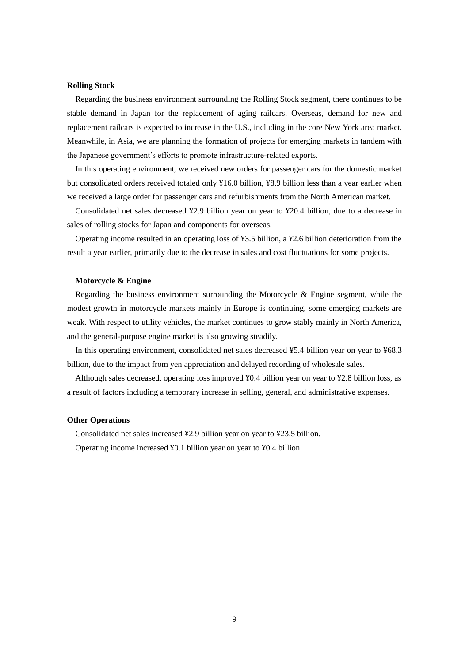#### **Rolling Stock**

Regarding the business environment surrounding the Rolling Stock segment, there continues to be stable demand in Japan for the replacement of aging railcars. Overseas, demand for new and replacement railcars is expected to increase in the U.S., including in the core New York area market. Meanwhile, in Asia, we are planning the formation of projects for emerging markets in tandem with the Japanese government's efforts to promote infrastructure-related exports.

In this operating environment, we received new orders for passenger cars for the domestic market but consolidated orders received totaled only ¥16.0 billion, ¥8.9 billion less than a year earlier when we received a large order for passenger cars and refurbishments from the North American market.

Consolidated net sales decreased ¥2.9 billion year on year to ¥20.4 billion, due to a decrease in sales of rolling stocks for Japan and components for overseas.

Operating income resulted in an operating loss of ¥3.5 billion, a ¥2.6 billion deterioration from the result a year earlier, primarily due to the decrease in sales and cost fluctuations for some projects.

## **Motorcycle & Engine**

Regarding the business environment surrounding the Motorcycle  $\&$  Engine segment, while the modest growth in motorcycle markets mainly in Europe is continuing, some emerging markets are weak. With respect to utility vehicles, the market continues to grow stably mainly in North America, and the general-purpose engine market is also growing steadily.

In this operating environment, consolidated net sales decreased ¥5.4 billion year on year to ¥68.3 billion, due to the impact from yen appreciation and delayed recording of wholesale sales.

Although sales decreased, operating loss improved ¥0.4 billion year on year to ¥2.8 billion loss, as a result of factors including a temporary increase in selling, general, and administrative expenses.

#### **Other Operations**

Consolidated net sales increased ¥2.9 billion year on year to ¥23.5 billion. Operating income increased ¥0.1 billion year on year to ¥0.4 billion.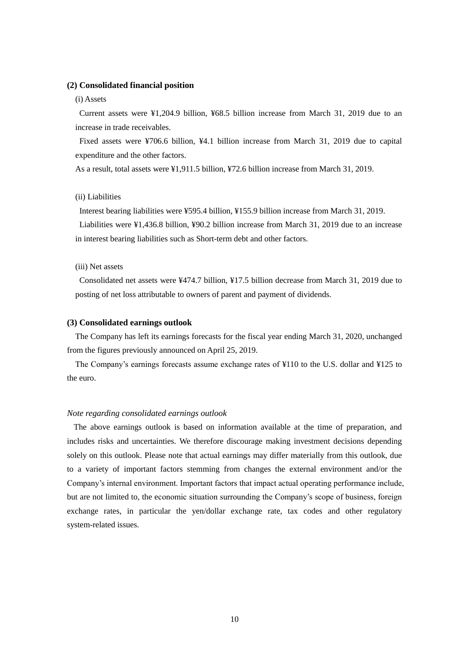## **(2) Consolidated financial position**

#### (i) Assets

Current assets were ¥1,204.9 billion, ¥68.5 billion increase from March 31, 2019 due to an increase in trade receivables.

Fixed assets were ¥706.6 billion, ¥4.1 billion increase from March 31, 2019 due to capital expenditure and the other factors.

As a result, total assets were ¥1,911.5 billion, ¥72.6 billion increase from March 31, 2019.

## (ii) Liabilities

Interest bearing liabilities were ¥595.4 billion, ¥155.9 billion increase from March 31, 2019. Liabilities were ¥1,436.8 billion, ¥90.2 billion increase from March 31, 2019 due to an increase in interest bearing liabilities such as Short-term debt and other factors.

#### (iii) Net assets

Consolidated net assets were ¥474.7 billion, ¥17.5 billion decrease from March 31, 2019 due to posting of net loss attributable to owners of parent and payment of dividends.

## **(3) Consolidated earnings outlook**

The Company has left its earnings forecasts for the fiscal year ending March 31, 2020, unchanged from the figures previously announced on April 25, 2019.

The Company's earnings forecasts assume exchange rates of ¥110 to the U.S. dollar and ¥125 to the euro.

#### *Note regarding consolidated earnings outlook*

The above earnings outlook is based on information available at the time of preparation, and includes risks and uncertainties. We therefore discourage making investment decisions depending solely on this outlook. Please note that actual earnings may differ materially from this outlook, due to a variety of important factors stemming from changes the external environment and/or the Company's internal environment. Important factors that impact actual operating performance include, but are not limited to, the economic situation surrounding the Company's scope of business, foreign exchange rates, in particular the yen/dollar exchange rate, tax codes and other regulatory system-related issues.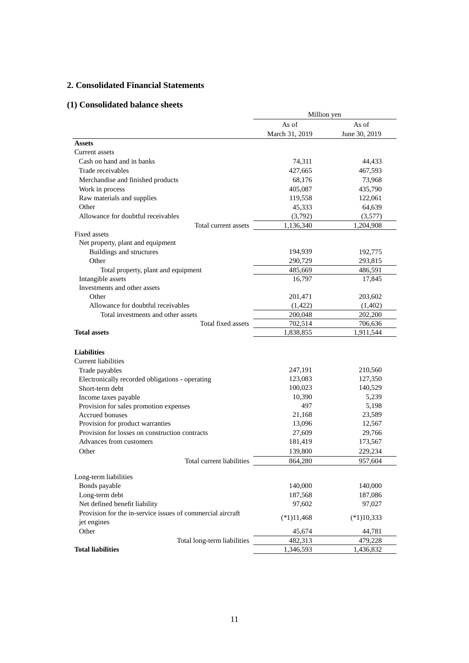# **2. Consolidated Financial Statements**

# **(1) Consolidated balance sheets**

|                                                            | Million yen    |               |
|------------------------------------------------------------|----------------|---------------|
|                                                            | As of          | As of         |
|                                                            | March 31, 2019 | June 30, 2019 |
| <b>Assets</b>                                              |                |               |
| Current assets                                             |                |               |
| Cash on hand and in banks                                  | 74,311         | 44,433        |
| Trade receivables                                          | 427,665        | 467,593       |
| Merchandise and finished products                          | 68,176         | 73,968        |
| Work in process                                            | 405,087        | 435,790       |
| Raw materials and supplies                                 | 119,558        | 122,061       |
| Other                                                      | 45,333         | 64,639        |
| Allowance for doubtful receivables                         | (3,792)        | (3,577)       |
| Total current assets                                       | 1,136,340      | 1,204,908     |
| Fixed assets                                               |                |               |
| Net property, plant and equipment                          |                |               |
| Buildings and structures                                   | 194,939        | 192,775       |
| Other                                                      | 290,729        | 293,815       |
| Total property, plant and equipment                        | 485,669        | 486,591       |
| Intangible assets                                          | 16,797         | 17,845        |
| Investments and other assets                               |                |               |
| Other                                                      | 201,471        | 203,602       |
| Allowance for doubtful receivables                         | (1, 422)       | (1,402)       |
| Total investments and other assets                         | 200,048        | 202,200       |
| Total fixed assets                                         | 702,514        | 706,636       |
| <b>Total assets</b>                                        | 1,838,855      | 1,911,544     |
|                                                            |                |               |
| <b>Liabilities</b>                                         |                |               |
| <b>Current liabilities</b>                                 |                |               |
| Trade payables                                             | 247,191        | 210,560       |
| Electronically recorded obligations - operating            | 123,083        | 127,350       |
| Short-term debt                                            | 100,023        | 140,529       |
| Income taxes payable                                       | 10,390         | 5,239         |
| Provision for sales promotion expenses                     | 497            | 5,198         |
| Accrued bonuses                                            | 21,168         | 23,589        |
| Provision for product warranties                           | 13,096         | 12,567        |
| Provision for losses on construction contracts             | 27,609         | 29,766        |
| Advances from customers                                    | 181,419        | 173,567       |
| Other                                                      | 139,800        | 229,234       |
| Total current liabilities                                  | 864,280        | 957,604       |
| Long-term liabilities                                      |                |               |
| Bonds payable                                              | 140,000        | 140,000       |
| Long-term debt                                             | 187,568        | 187,086       |
| Net defined benefit liability                              | 97,602         | 97,027        |
| Provision for the in-service issues of commercial aircraft |                |               |
| jet engines                                                | $(*1)11,468$   | $(*1)10,333$  |
| Other                                                      | 45,674         | 44,781        |
| Total long-term liabilities                                | 482,313        | 479,228       |
| <b>Total liabilities</b>                                   | 1,346,593      | 1,436,832     |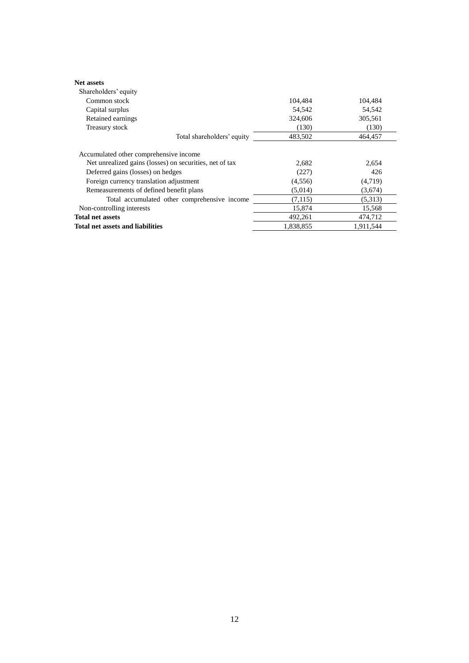| <b>Net assets</b>                                       |           |           |
|---------------------------------------------------------|-----------|-----------|
| Shareholders' equity                                    |           |           |
| Common stock                                            | 104,484   | 104,484   |
| Capital surplus                                         | 54,542    | 54,542    |
| Retained earnings                                       | 324,606   | 305,561   |
| Treasury stock                                          | (130)     | (130)     |
| Total shareholders' equity                              | 483,502   | 464,457   |
| Accumulated other comprehensive income                  |           |           |
| Net unrealized gains (losses) on securities, net of tax | 2,682     | 2,654     |
| Deferred gains (losses) on hedges                       | (227)     | 426       |
| Foreign currency translation adjustment                 | (4, 556)  | (4,719)   |
| Remeasurements of defined benefit plans                 | (5,014)   | (3,674)   |
| Total accumulated other comprehensive income            | (7,115)   | (5,313)   |
| Non-controlling interests                               | 15,874    | 15,568    |
| <b>Total net assets</b>                                 | 492,261   | 474,712   |
| <b>Total net assets and liabilities</b>                 | 1.838.855 | 1.911.544 |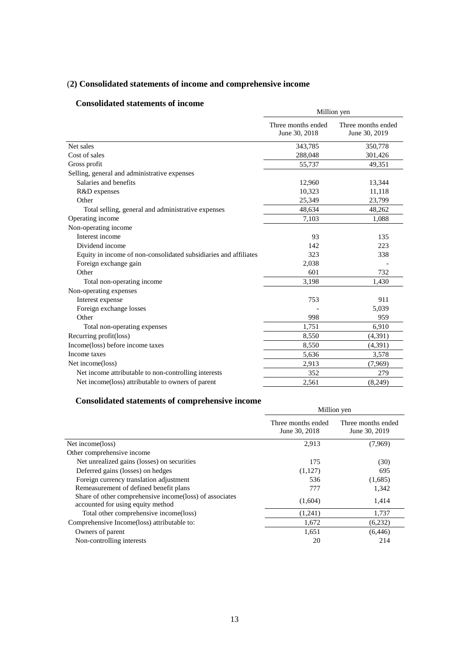# (**2) Consolidated statements of income and comprehensive income**

# **Consolidated statements of income**

| onsonuattu stattintiits ol mtomit                                | Million yen                         |                                     |  |
|------------------------------------------------------------------|-------------------------------------|-------------------------------------|--|
|                                                                  | Three months ended<br>June 30, 2018 | Three months ended<br>June 30, 2019 |  |
| Net sales                                                        | 343,785                             | 350,778                             |  |
| Cost of sales                                                    | 288,048                             | 301,426                             |  |
| Gross profit                                                     | 55,737                              | 49,351                              |  |
| Selling, general and administrative expenses                     |                                     |                                     |  |
| Salaries and benefits                                            | 12,960                              | 13,344                              |  |
| R&D expenses                                                     | 10,323                              | 11,118                              |  |
| Other                                                            | 25,349                              | 23,799                              |  |
| Total selling, general and administrative expenses               | 48,634                              | 48,262                              |  |
| Operating income                                                 | 7,103                               | 1,088                               |  |
| Non-operating income                                             |                                     |                                     |  |
| Interest income                                                  | 93                                  | 135                                 |  |
| Dividend income                                                  | 142                                 | 223                                 |  |
| Equity in income of non-consolidated subsidiaries and affiliates | 323                                 | 338                                 |  |
| Foreign exchange gain                                            | 2,038                               |                                     |  |
| Other                                                            | 601                                 | 732                                 |  |
| Total non-operating income                                       | 3,198                               | 1.430                               |  |
| Non-operating expenses                                           |                                     |                                     |  |
| Interest expense                                                 | 753                                 | 911                                 |  |
| Foreign exchange losses                                          |                                     | 5,039                               |  |
| Other                                                            | 998                                 | 959                                 |  |
| Total non-operating expenses                                     | 1,751                               | 6,910                               |  |
| Recurring profit(loss)                                           | 8,550                               | (4,391)                             |  |
| Income(loss) before income taxes                                 | 8,550                               | (4,391)                             |  |
| Income taxes                                                     | 5,636                               | 3,578                               |  |
| Net income(loss)                                                 | 2,913                               | (7,969)                             |  |
| Net income attributable to non-controlling interests             | 352                                 | 279                                 |  |
| Net income (loss) attributable to owners of parent               | 2,561                               | (8,249)                             |  |

# **Consolidated statements of comprehensive income**

| Consontance surrenches or comprenensive meonie<br>Million yen |                                     |  |
|---------------------------------------------------------------|-------------------------------------|--|
| Three months ended<br>June 30, 2018                           | Three months ended<br>June 30, 2019 |  |
| 2,913                                                         | (7,969)                             |  |
|                                                               |                                     |  |
| 175                                                           | (30)                                |  |
| (1,127)                                                       | 695                                 |  |
| 536                                                           | (1,685)                             |  |
| 777                                                           | 1,342                               |  |
| (1,604)                                                       | 1,414                               |  |
| (1,241)                                                       | 1,737                               |  |
| 1,672                                                         | (6,232)                             |  |
| 1,651                                                         | (6, 446)                            |  |
| 20                                                            | 214                                 |  |
|                                                               |                                     |  |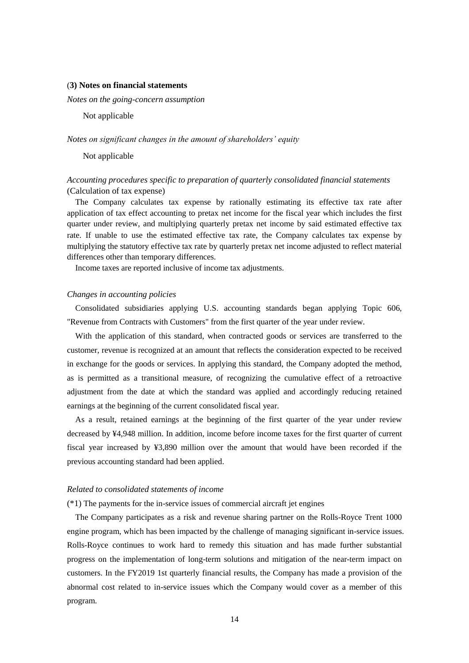#### (**3) Notes on financial statements**

*Notes on the going-concern assumption* 

Not applicable

#### *Notes on significant changes in the amount of shareholders' equity*

Not applicable

## *Accounting procedures specific to preparation of quarterly consolidated financial statements* (Calculation of tax expense)

The Company calculates tax expense by rationally estimating its effective tax rate after application of tax effect accounting to pretax net income for the fiscal year which includes the first quarter under review, and multiplying quarterly pretax net income by said estimated effective tax rate. If unable to use the estimated effective tax rate, the Company calculates tax expense by multiplying the statutory effective tax rate by quarterly pretax net income adjusted to reflect material differences other than temporary differences.

Income taxes are reported inclusive of income tax adjustments.

## *Changes in accounting policies*

Consolidated subsidiaries applying U.S. accounting standards began applying Topic 606, "Revenue from Contracts with Customers" from the first quarter of the year under review.

With the application of this standard, when contracted goods or services are transferred to the customer, revenue is recognized at an amount that reflects the consideration expected to be received in exchange for the goods or services. In applying this standard, the Company adopted the method, as is permitted as a transitional measure, of recognizing the cumulative effect of a retroactive adjustment from the date at which the standard was applied and accordingly reducing retained earnings at the beginning of the current consolidated fiscal year.

As a result, retained earnings at the beginning of the first quarter of the year under review decreased by ¥4,948 million. In addition, income before income taxes for the first quarter of current fiscal year increased by ¥3,890 million over the amount that would have been recorded if the previous accounting standard had been applied.

#### *Related to consolidated statements of income*

(\*1) The payments for the in-service issues of commercial aircraft jet engines

The Company participates as a risk and revenue sharing partner on the Rolls-Royce Trent 1000 engine program, which has been impacted by the challenge of managing significant in-service issues. Rolls-Royce continues to work hard to remedy this situation and has made further substantial progress on the implementation of long-term solutions and mitigation of the near-term impact on customers. In the FY2019 1st quarterly financial results, the Company has made a provision of the abnormal cost related to in-service issues which the Company would cover as a member of this program.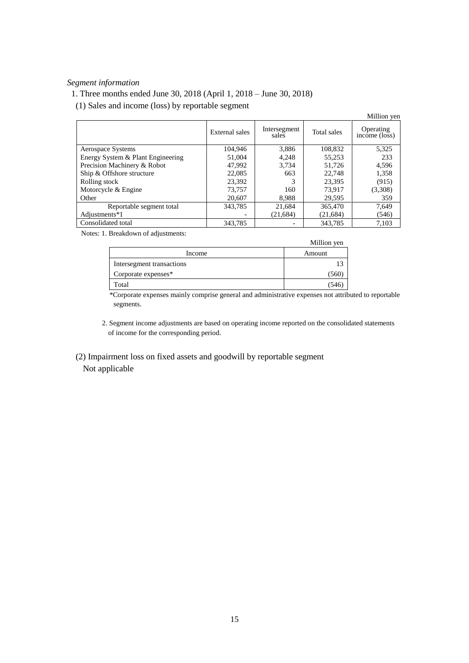# *Segment information*

# 1. Three months ended June 30, 2018 (April 1, 2018 – June 30, 2018)

(1) Sales and income (loss) by reportable segment

|                                   |                |                       |             | Million yen                             |
|-----------------------------------|----------------|-----------------------|-------------|-----------------------------------------|
|                                   | External sales | Intersegment<br>sales | Total sales | Operating<br>$inc\overline{one}$ (loss) |
| Aerospace Systems                 | 104.946        | 3,886                 | 108,832     | 5,325                                   |
| Energy System & Plant Engineering | 51,004         | 4,248                 | 55,253      | 233                                     |
| Precision Machinery & Robot       | 47.992         | 3.734                 | 51.726      | 4,596                                   |
| Ship & Offshore structure         | 22,085         | 663                   | 22.748      | 1,358                                   |
| Rolling stock                     | 23,392         | 3                     | 23,395      | (915)                                   |
| Motorcycle & Engine               | 73.757         | 160                   | 73,917      | (3,308)                                 |
| Other                             | 20,607         | 8.988                 | 29,595      | 359                                     |
| Reportable segment total          | 343,785        | 21.684                | 365,470     | 7,649                                   |
| Adjustments*1                     |                | (21, 684)             | (21,684)    | (546)                                   |
| Consolidated total                | 343,785        |                       | 343,785     | 7.103                                   |

Notes: 1. Breakdown of adjustments:

|                           | Million yen |
|---------------------------|-------------|
| Income                    | Amount      |
| Intersegment transactions |             |
| Corporate expenses*       | (560)       |
| Total                     | 546         |

\*Corporate expenses mainly comprise general and administrative expenses not attributed to reportable segments.

2. Segment income adjustments are based on operating income reported on the consolidated statements of income for the corresponding period.

 (2) Impairment loss on fixed assets and goodwill by reportable segment Not applicable